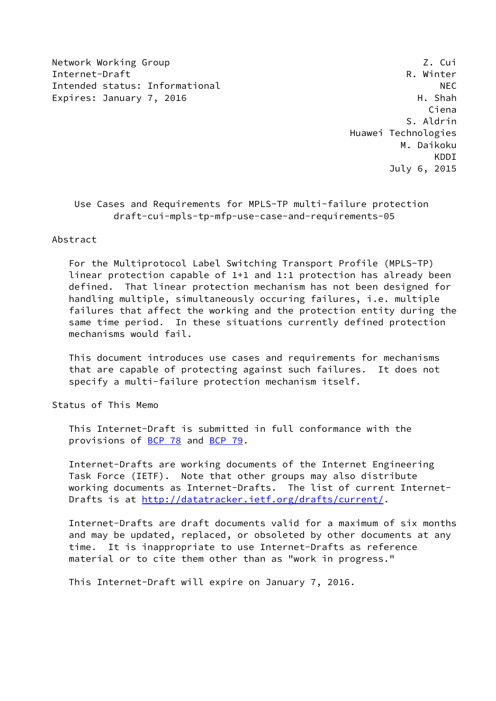Network Working Group 2. Cui Internet-Draft R. Winter Thended status: Informational MEC<br>Expires: January 7, 2016 Expires: H. Shah Expires: January 7, 2016

 Ciena S. Aldrin Huawei Technologies M. Daikoku KDDI July 6, 2015

# Use Cases and Requirements for MPLS-TP multi-failure protection draft-cui-mpls-tp-mfp-use-case-and-requirements-05

### Abstract

 For the Multiprotocol Label Switching Transport Profile (MPLS-TP) linear protection capable of 1+1 and 1:1 protection has already been defined. That linear protection mechanism has not been designed for handling multiple, simultaneously occuring failures, i.e. multiple failures that affect the working and the protection entity during the same time period. In these situations currently defined protection mechanisms would fail.

 This document introduces use cases and requirements for mechanisms that are capable of protecting against such failures. It does not specify a multi-failure protection mechanism itself.

Status of This Memo

 This Internet-Draft is submitted in full conformance with the provisions of [BCP 78](https://datatracker.ietf.org/doc/pdf/bcp78) and [BCP 79](https://datatracker.ietf.org/doc/pdf/bcp79).

 Internet-Drafts are working documents of the Internet Engineering Task Force (IETF). Note that other groups may also distribute working documents as Internet-Drafts. The list of current Internet- Drafts is at<http://datatracker.ietf.org/drafts/current/>.

 Internet-Drafts are draft documents valid for a maximum of six months and may be updated, replaced, or obsoleted by other documents at any time. It is inappropriate to use Internet-Drafts as reference material or to cite them other than as "work in progress."

This Internet-Draft will expire on January 7, 2016.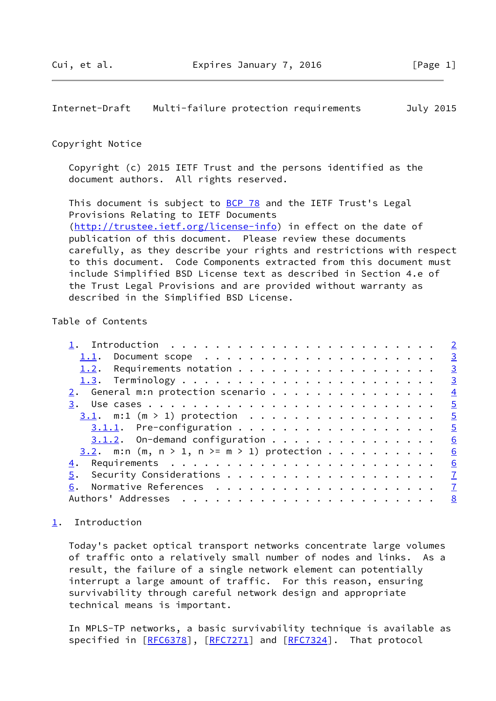<span id="page-1-1"></span>Internet-Draft Multi-failure protection requirements July 2015

### Copyright Notice

 Copyright (c) 2015 IETF Trust and the persons identified as the document authors. All rights reserved.

This document is subject to **[BCP 78](https://datatracker.ietf.org/doc/pdf/bcp78)** and the IETF Trust's Legal Provisions Relating to IETF Documents [\(http://trustee.ietf.org/license-info](http://trustee.ietf.org/license-info)) in effect on the date of publication of this document. Please review these documents carefully, as they describe your rights and restrictions with respect to this document. Code Components extracted from this document must include Simplified BSD License text as described in Section 4.e of the Trust Legal Provisions and are provided without warranty as described in the Simplified BSD License.

# Table of Contents

| 2. General m:n protection scenario 4                 |  |  |  |  |   |
|------------------------------------------------------|--|--|--|--|---|
|                                                      |  |  |  |  |   |
| <u>3.1</u> . m:1 (m > 1) protection 5                |  |  |  |  |   |
| $3.1.1.$ Pre-configuration 5                         |  |  |  |  |   |
| $3.1.2$ . On-demand configuration                    |  |  |  |  | 6 |
| <u>3.2</u> . m:n (m, n > 1, n >= m > 1) protection 6 |  |  |  |  |   |
|                                                      |  |  |  |  |   |
|                                                      |  |  |  |  |   |
|                                                      |  |  |  |  |   |
|                                                      |  |  |  |  |   |

## <span id="page-1-0"></span>[1](#page-1-0). Introduction

 Today's packet optical transport networks concentrate large volumes of traffic onto a relatively small number of nodes and links. As a result, the failure of a single network element can potentially interrupt a large amount of traffic. For this reason, ensuring survivability through careful network design and appropriate technical means is important.

 In MPLS-TP networks, a basic survivability technique is available as specified in [\[RFC6378](https://datatracker.ietf.org/doc/pdf/rfc6378)], [\[RFC7271](https://datatracker.ietf.org/doc/pdf/rfc7271)] and [[RFC7324](https://datatracker.ietf.org/doc/pdf/rfc7324)]. That protocol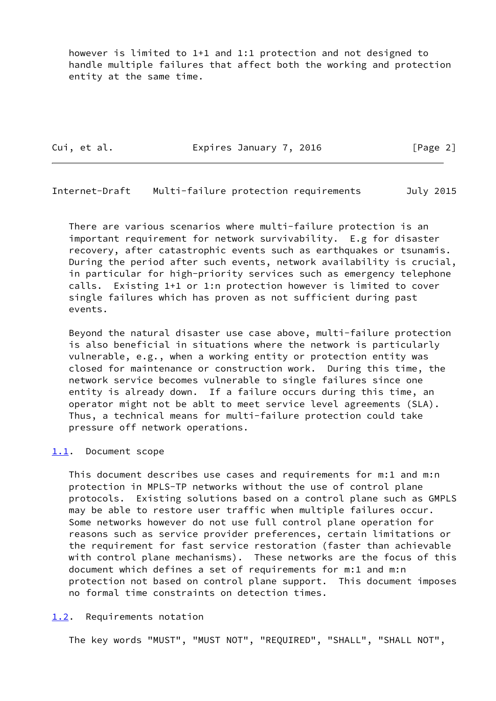however is limited to 1+1 and 1:1 protection and not designed to handle multiple failures that affect both the working and protection entity at the same time.

Cui, et al. **Expires January 7, 2016** [Page 2]

<span id="page-2-1"></span>Internet-Draft Multi-failure protection requirements July 2015

 There are various scenarios where multi-failure protection is an important requirement for network survivability. E.g for disaster recovery, after catastrophic events such as earthquakes or tsunamis. During the period after such events, network availability is crucial, in particular for high-priority services such as emergency telephone calls. Existing 1+1 or 1:n protection however is limited to cover single failures which has proven as not sufficient during past events.

 Beyond the natural disaster use case above, multi-failure protection is also beneficial in situations where the network is particularly vulnerable, e.g., when a working entity or protection entity was closed for maintenance or construction work. During this time, the network service becomes vulnerable to single failures since one entity is already down. If a failure occurs during this time, an operator might not be ablt to meet service level agreements (SLA). Thus, a technical means for multi-failure protection could take pressure off network operations.

### <span id="page-2-0"></span>[1.1](#page-2-0). Document scope

 This document describes use cases and requirements for m:1 and m:n protection in MPLS-TP networks without the use of control plane protocols. Existing solutions based on a control plane such as GMPLS may be able to restore user traffic when multiple failures occur. Some networks however do not use full control plane operation for reasons such as service provider preferences, certain limitations or the requirement for fast service restoration (faster than achievable with control plane mechanisms). These networks are the focus of this document which defines a set of requirements for m:1 and m:n protection not based on control plane support. This document imposes no formal time constraints on detection times.

#### <span id="page-2-2"></span>[1.2](#page-2-2). Requirements notation

The key words "MUST", "MUST NOT", "REQUIRED", "SHALL", "SHALL NOT",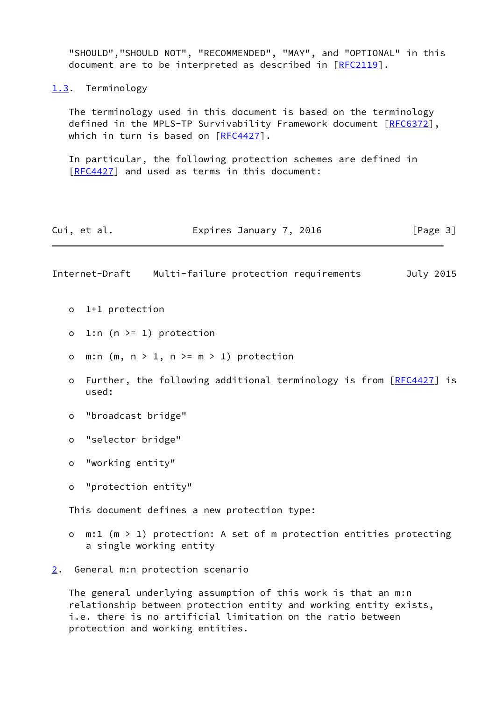<span id="page-3-2"></span><span id="page-3-0"></span>

|                                                                                  | "SHOULD", "SHOULD NOT", "RECOMMENDED", "MAY", and "OPTIONAL" in this<br>document are to be interpreted as described in [RFC2119]. |                                                                                                                                                                                    |  |  |  |  |  |
|----------------------------------------------------------------------------------|-----------------------------------------------------------------------------------------------------------------------------------|------------------------------------------------------------------------------------------------------------------------------------------------------------------------------------|--|--|--|--|--|
|                                                                                  |                                                                                                                                   | 1.3. Terminology                                                                                                                                                                   |  |  |  |  |  |
|                                                                                  |                                                                                                                                   | The terminology used in this document is based on the terminology<br>defined in the MPLS-TP Survivability Framework document [RFC6372],<br>which in turn is based on $[RFC4427]$ . |  |  |  |  |  |
|                                                                                  |                                                                                                                                   | In particular, the following protection schemes are defined in<br>[RFC4427] and used as terms in this document:                                                                    |  |  |  |  |  |
|                                                                                  |                                                                                                                                   | Cui, et al.<br>Expires January 7, 2016<br>[Page 3]                                                                                                                                 |  |  |  |  |  |
|                                                                                  |                                                                                                                                   | Internet-Draft<br>Multi-failure protection requirements<br>July 2015                                                                                                               |  |  |  |  |  |
|                                                                                  |                                                                                                                                   | o 1+1 protection                                                                                                                                                                   |  |  |  |  |  |
|                                                                                  | 1:n $(n \ge 1)$ protection<br>$\circ$                                                                                             |                                                                                                                                                                                    |  |  |  |  |  |
|                                                                                  | m:n $(m, n > 1, n > m > 1)$ protection<br>$\circ$                                                                                 |                                                                                                                                                                                    |  |  |  |  |  |
| Further, the following additional terminology is from [RFC4427] is<br>o<br>used: |                                                                                                                                   |                                                                                                                                                                                    |  |  |  |  |  |
|                                                                                  | $\circ$                                                                                                                           | "broadcast bridge"                                                                                                                                                                 |  |  |  |  |  |
|                                                                                  | "selector bridge"<br>o                                                                                                            |                                                                                                                                                                                    |  |  |  |  |  |
|                                                                                  | o                                                                                                                                 | "working entity"                                                                                                                                                                   |  |  |  |  |  |
|                                                                                  | o                                                                                                                                 | "protection entity"                                                                                                                                                                |  |  |  |  |  |
|                                                                                  |                                                                                                                                   | This document defines a new protection type:                                                                                                                                       |  |  |  |  |  |
|                                                                                  | O                                                                                                                                 | $m:1$ (m > 1) protection: A set of m protection entities protecting<br>a single working entity                                                                                     |  |  |  |  |  |
| $2 \cdot$                                                                        |                                                                                                                                   | General m:n protection scenario                                                                                                                                                    |  |  |  |  |  |

<span id="page-3-1"></span> The general underlying assumption of this work is that an m:n relationship between protection entity and working entity exists, i.e. there is no artificial limitation on the ratio between protection and working entities.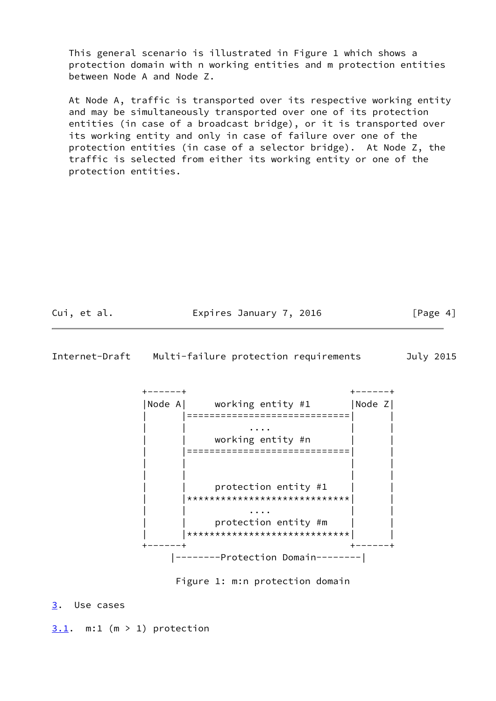This general scenario is illustrated in Figure 1 which shows a protection domain with n working entities and m protection entities between Node A and Node Z.

 At Node A, traffic is transported over its respective working entity and may be simultaneously transported over one of its protection entities (in case of a broadcast bridge), or it is transported over its working entity and only in case of failure over one of the protection entities (in case of a selector bridge). At Node Z, the traffic is selected from either its working entity or one of the protection entities.

Cui, et al. **Expires January 7, 2016** [Page 4]

<span id="page-4-1"></span>Internet-Draft Multi-failure protection requirements July 2015



Figure 1: m:n protection domain

<span id="page-4-0"></span>[3](#page-4-0). Use cases

<span id="page-4-2"></span> $3.1.$  $3.1.$  m:1 (m > 1) protection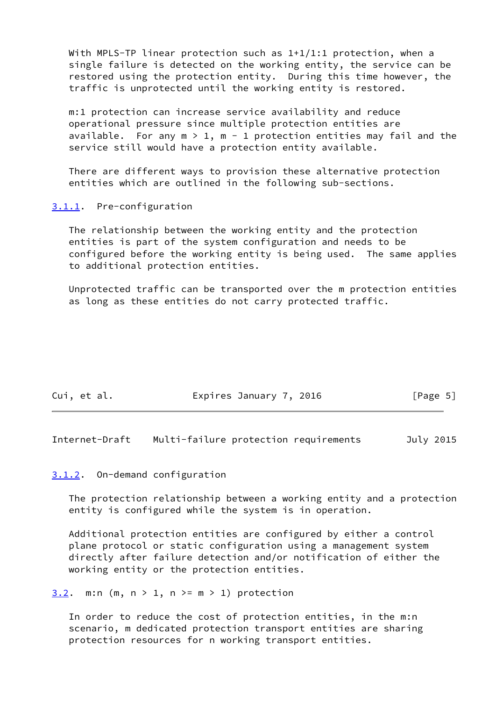With MPLS-TP linear protection such as  $1+1/1:1$  protection, when a single failure is detected on the working entity, the service can be restored using the protection entity. During this time however, the traffic is unprotected until the working entity is restored.

 m:1 protection can increase service availability and reduce operational pressure since multiple protection entities are available. For any  $m > 1$ ,  $m - 1$  protection entities may fail and the service still would have a protection entity available.

 There are different ways to provision these alternative protection entities which are outlined in the following sub-sections.

<span id="page-5-0"></span>[3.1.1](#page-5-0). Pre-configuration

 The relationship between the working entity and the protection entities is part of the system configuration and needs to be configured before the working entity is being used. The same applies to additional protection entities.

 Unprotected traffic can be transported over the m protection entities as long as these entities do not carry protected traffic.

| Cui, et al. | Expires January 7, 2016 | [Page 5] |
|-------------|-------------------------|----------|
|             |                         |          |

<span id="page-5-2"></span>Internet-Draft Multi-failure protection requirements July 2015

# <span id="page-5-1"></span>[3.1.2](#page-5-1). On-demand configuration

 The protection relationship between a working entity and a protection entity is configured while the system is in operation.

 Additional protection entities are configured by either a control plane protocol or static configuration using a management system directly after failure detection and/or notification of either the working entity or the protection entities.

<span id="page-5-3"></span>[3.2](#page-5-3). m:n (m,  $n > 1$ ,  $n \ge m > 1$ ) protection

 In order to reduce the cost of protection entities, in the m:n scenario, m dedicated protection transport entities are sharing protection resources for n working transport entities.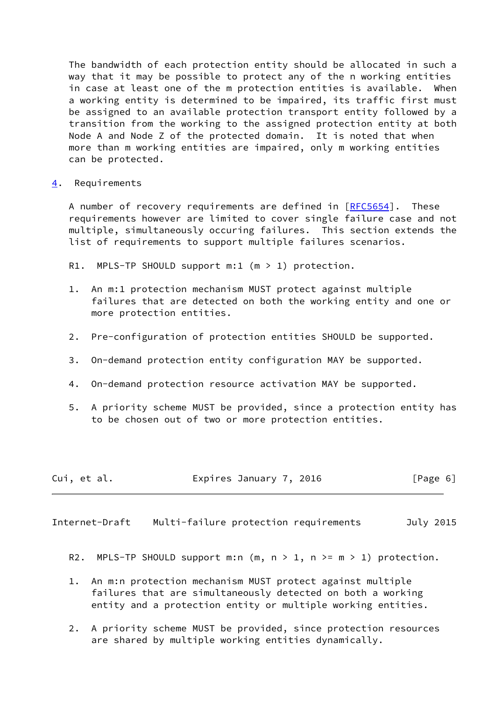The bandwidth of each protection entity should be allocated in such a way that it may be possible to protect any of the n working entities in case at least one of the m protection entities is available. When a working entity is determined to be impaired, its traffic first must be assigned to an available protection transport entity followed by a transition from the working to the assigned protection entity at both Node A and Node Z of the protected domain. It is noted that when more than m working entities are impaired, only m working entities can be protected.

<span id="page-6-0"></span>[4](#page-6-0). Requirements

A number of recovery requirements are defined in [\[RFC5654](https://datatracker.ietf.org/doc/pdf/rfc5654)]. These requirements however are limited to cover single failure case and not multiple, simultaneously occuring failures. This section extends the list of requirements to support multiple failures scenarios.

R1. MPLS-TP SHOULD support  $m:1$  ( $m > 1$ ) protection.

- 1. An m:1 protection mechanism MUST protect against multiple failures that are detected on both the working entity and one or more protection entities.
- 2. Pre-configuration of protection entities SHOULD be supported.
- 3. On-demand protection entity configuration MAY be supported.
- 4. On-demand protection resource activation MAY be supported.
- 5. A priority scheme MUST be provided, since a protection entity has to be chosen out of two or more protection entities.

| Cui, et al. | Expires January 7, 2016 | [Page 6] |
|-------------|-------------------------|----------|
|-------------|-------------------------|----------|

<span id="page-6-1"></span>Internet-Draft Multi-failure protection requirements July 2015

- R2. MPLS-TP SHOULD support m:n  $(m, n > 1, n > m > 1)$  protection.
- 1. An m:n protection mechanism MUST protect against multiple failures that are simultaneously detected on both a working entity and a protection entity or multiple working entities.
- 2. A priority scheme MUST be provided, since protection resources are shared by multiple working entities dynamically.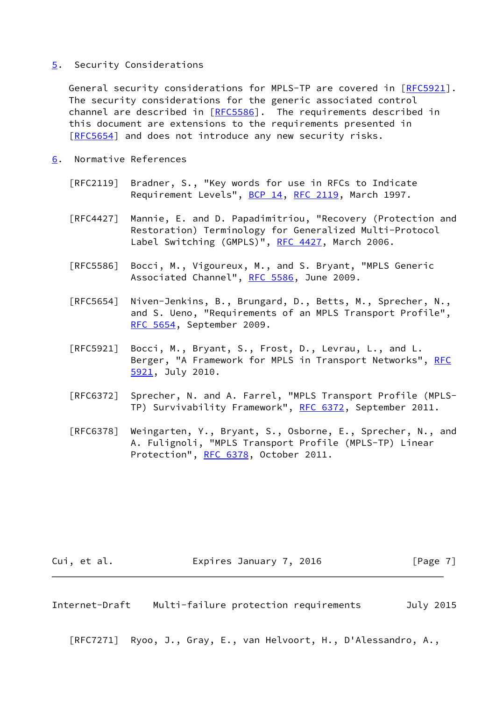### <span id="page-7-0"></span>[5](#page-7-0). Security Considerations

General security considerations for MPLS-TP are covered in [[RFC5921\]](https://datatracker.ietf.org/doc/pdf/rfc5921). The security considerations for the generic associated control channel are described in  $[REC5586]$ . The requirements described in this document are extensions to the requirements presented in [\[RFC5654](https://datatracker.ietf.org/doc/pdf/rfc5654)] and does not introduce any new security risks.

- <span id="page-7-1"></span>[6](#page-7-1). Normative References
	- [RFC2119] Bradner, S., "Key words for use in RFCs to Indicate Requirement Levels", [BCP 14](https://datatracker.ietf.org/doc/pdf/bcp14), [RFC 2119](https://datatracker.ietf.org/doc/pdf/rfc2119), March 1997.
	- [RFC4427] Mannie, E. and D. Papadimitriou, "Recovery (Protection and Restoration) Terminology for Generalized Multi-Protocol Label Switching (GMPLS)", [RFC 4427](https://datatracker.ietf.org/doc/pdf/rfc4427), March 2006.
	- [RFC5586] Bocci, M., Vigoureux, M., and S. Bryant, "MPLS Generic Associated Channel", [RFC 5586](https://datatracker.ietf.org/doc/pdf/rfc5586), June 2009.
	- [RFC5654] Niven-Jenkins, B., Brungard, D., Betts, M., Sprecher, N., and S. Ueno, "Requirements of an MPLS Transport Profile", [RFC 5654,](https://datatracker.ietf.org/doc/pdf/rfc5654) September 2009.
	- [RFC5921] Bocci, M., Bryant, S., Frost, D., Levrau, L., and L. Berger, "A Framework for MPLS in Transport Networks", [RFC](https://datatracker.ietf.org/doc/pdf/rfc5921) [5921,](https://datatracker.ietf.org/doc/pdf/rfc5921) July 2010.
	- [RFC6372] Sprecher, N. and A. Farrel, "MPLS Transport Profile (MPLS- TP) Survivability Framework", [RFC 6372](https://datatracker.ietf.org/doc/pdf/rfc6372), September 2011.
	- [RFC6378] Weingarten, Y., Bryant, S., Osborne, E., Sprecher, N., and A. Fulignoli, "MPLS Transport Profile (MPLS-TP) Linear Protection", [RFC 6378](https://datatracker.ietf.org/doc/pdf/rfc6378), October 2011.

Cui, et al. **Expires January 7, 2016** [Page 7]

<span id="page-7-2"></span>Internet-Draft Multi-failure protection requirements July 2015

[RFC7271] Ryoo, J., Gray, E., van Helvoort, H., D'Alessandro, A.,